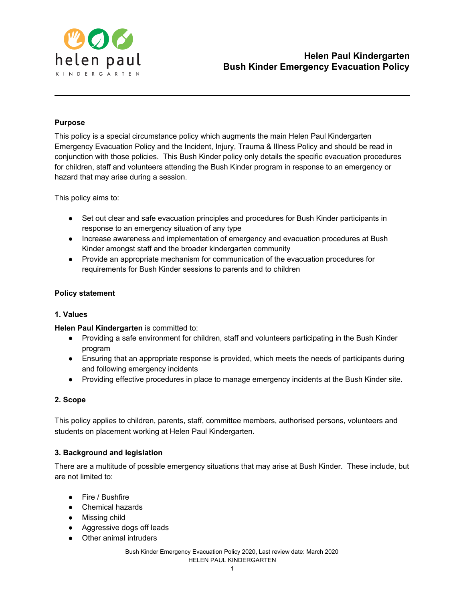

### **Purpose**

This policy is a special circumstance policy which augments the main Helen Paul Kindergarten Emergency Evacuation Policy and the Incident, Injury, Trauma & Illness Policy and should be read in conjunction with those policies. This Bush Kinder policy only details the specific evacuation procedures for children, staff and volunteers attending the Bush Kinder program in response to an emergency or hazard that may arise during a session.

This policy aims to:

- Set out clear and safe evacuation principles and procedures for Bush Kinder participants in response to an emergency situation of any type
- Increase awareness and implementation of emergency and evacuation procedures at Bush Kinder amongst staff and the broader kindergarten community
- Provide an appropriate mechanism for communication of the evacuation procedures for requirements for Bush Kinder sessions to parents and to children

#### **Policy statement**

#### **1. Values**

#### **Helen Paul Kindergarten** is committed to:

- Providing a safe environment for children, staff and volunteers participating in the Bush Kinder program
- Ensuring that an appropriate response is provided, which meets the needs of participants during and following emergency incidents
- Providing effective procedures in place to manage emergency incidents at the Bush Kinder site.

#### **2. Scope**

This policy applies to children, parents, staff, committee members, authorised persons, volunteers and students on placement working at Helen Paul Kindergarten.

#### **3. Background and legislation**

There are a multitude of possible emergency situations that may arise at Bush Kinder. These include, but are not limited to:

- Fire / Bushfire
- Chemical hazards
- Missing child
- Aggressive dogs off leads
- Other animal intruders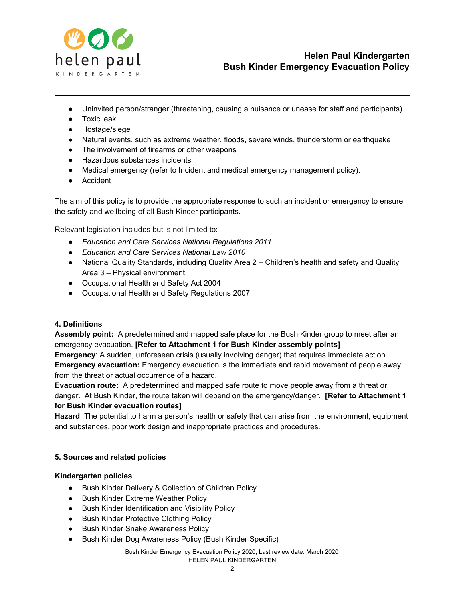

- Uninvited person/stranger (threatening, causing a nuisance or unease for staff and participants)
- Toxic leak
- Hostage/siege
- Natural events, such as extreme weather, floods, severe winds, thunderstorm or earthquake
- The involvement of firearms or other weapons
- Hazardous substances incidents
- Medical emergency (refer to Incident and medical emergency management policy).
- Accident

The aim of this policy is to provide the appropriate response to such an incident or emergency to ensure the safety and wellbeing of all Bush Kinder participants.

Relevant legislation includes but is not limited to:

- *Education and Care Services National Regulations 2011*
- *Education and Care Services National Law 2010*
- National Quality Standards, including Quality Area 2 Children's health and safety and Quality Area 3 – Physical environment
- Occupational Health and Safety Act 2004
- Occupational Health and Safety Regulations 2007

#### **4. Definitions**

**Assembly point:** A predetermined and mapped safe place for the Bush Kinder group to meet after an emergency evacuation. **[Refer to Attachment 1 for Bush Kinder assembly points]**

**Emergency**: A sudden, unforeseen crisis (usually involving danger) that requires immediate action. **Emergency evacuation:** Emergency evacuation is the immediate and rapid movement of people away from the threat or actual occurrence of a hazard.

**Evacuation route:** A predetermined and mapped safe route to move people away from a threat or danger. At Bush Kinder, the route taken will depend on the emergency/danger. **[Refer to Attachment 1 for Bush Kinder evacuation routes]**

**Hazard**: The potential to harm a person's health or safety that can arise from the environment, equipment and substances, poor work design and inappropriate practices and procedures.

#### **5. Sources and related policies**

#### **Kindergarten policies**

- Bush Kinder Delivery & Collection of Children Policy
- Bush Kinder Extreme Weather Policy
- Bush Kinder Identification and Visibility Policy
- Bush Kinder Protective Clothing Policy
- Bush Kinder Snake Awareness Policy
- Bush Kinder Dog Awareness Policy (Bush Kinder Specific)

Bush Kinder Emergency Evacuation Policy 2020, Last review date: March 2020 HELEN PAUL KINDERGARTEN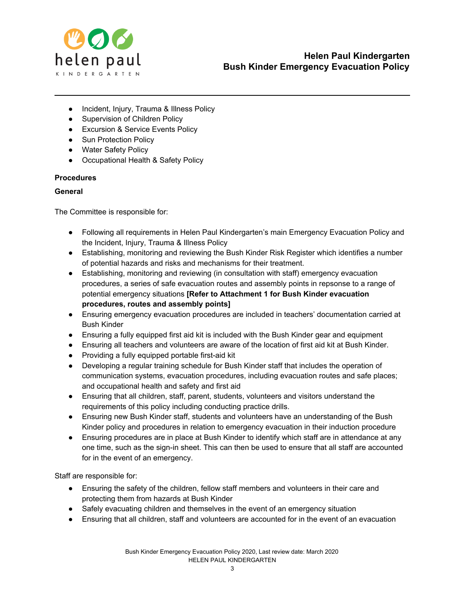

- Incident, Injury, Trauma & Illness Policy
- Supervision of Children Policy
- Excursion & Service Events Policy
- Sun Protection Policy
- Water Safety Policy
- Occupational Health & Safety Policy

# **Procedures**

#### **General**

The Committee is responsible for:

- Following all requirements in Helen Paul Kindergarten's main Emergency Evacuation Policy and the Incident, Injury, Trauma & Illness Policy
- Establishing, monitoring and reviewing the Bush Kinder Risk Register which identifies a number of potential hazards and risks and mechanisms for their treatment.
- Establishing, monitoring and reviewing (in consultation with staff) emergency evacuation procedures, a series of safe evacuation routes and assembly points in repsonse to a range of potential emergency situations **[Refer to Attachment 1 for Bush Kinder evacuation procedures, routes and assembly points]**
- Ensuring emergency evacuation procedures are included in teachers' documentation carried at Bush Kinder
- Ensuring a fully equipped first aid kit is included with the Bush Kinder gear and equipment
- Ensuring all teachers and volunteers are aware of the location of first aid kit at Bush Kinder.
- Providing a fully equipped portable first-aid kit
- Developing a regular training schedule for Bush Kinder staff that includes the operation of communication systems, evacuation procedures, including evacuation routes and safe places; and occupational health and safety and first aid
- Ensuring that all children, staff, parent, students, volunteers and visitors understand the requirements of this policy including conducting practice drills.
- Ensuring new Bush Kinder staff, students and volunteers have an understanding of the Bush Kinder policy and procedures in relation to emergency evacuation in their induction procedure
- Ensuring procedures are in place at Bush Kinder to identify which staff are in attendance at any one time, such as the sign-in sheet. This can then be used to ensure that all staff are accounted for in the event of an emergency.

Staff are responsible for:

- Ensuring the safety of the children, fellow staff members and volunteers in their care and protecting them from hazards at Bush Kinder
- Safely evacuating children and themselves in the event of an emergency situation
- Ensuring that all children, staff and volunteers are accounted for in the event of an evacuation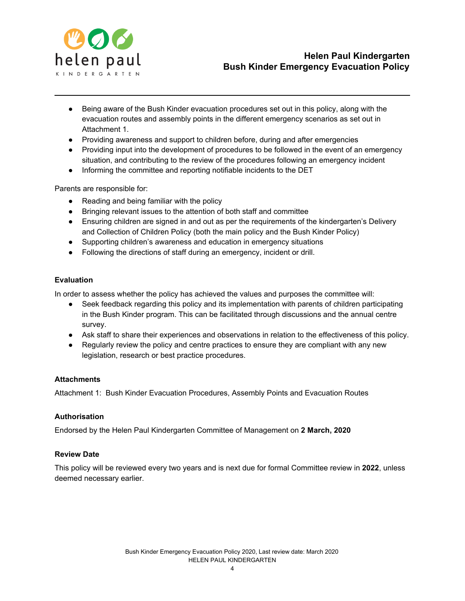

- Being aware of the Bush Kinder evacuation procedures set out in this policy, along with the evacuation routes and assembly points in the different emergency scenarios as set out in Attachment 1.
- Providing awareness and support to children before, during and after emergencies
- Providing input into the development of procedures to be followed in the event of an emergency situation, and contributing to the review of the procedures following an emergency incident
- Informing the committee and reporting notifiable incidents to the DET

Parents are responsible for:

- Reading and being familiar with the policy
- Bringing relevant issues to the attention of both staff and committee
- Ensuring children are signed in and out as per the requirements of the kindergarten's Delivery and Collection of Children Policy (both the main policy and the Bush Kinder Policy)
- Supporting children's awareness and education in emergency situations
- Following the directions of staff during an emergency, incident or drill.

#### **Evaluation**

In order to assess whether the policy has achieved the values and purposes the committee will:

- Seek feedback regarding this policy and its implementation with parents of children participating in the Bush Kinder program. This can be facilitated through discussions and the annual centre survey.
- Ask staff to share their experiences and observations in relation to the effectiveness of this policy.
- Regularly review the policy and centre practices to ensure they are compliant with any new legislation, research or best practice procedures.

#### **Attachments**

Attachment 1: Bush Kinder Evacuation Procedures, Assembly Points and Evacuation Routes

#### **Authorisation**

Endorsed by the Helen Paul Kindergarten Committee of Management on **2 March, 2020**

#### **Review Date**

This policy will be reviewed every two years and is next due for formal Committee review in **2022**, unless deemed necessary earlier.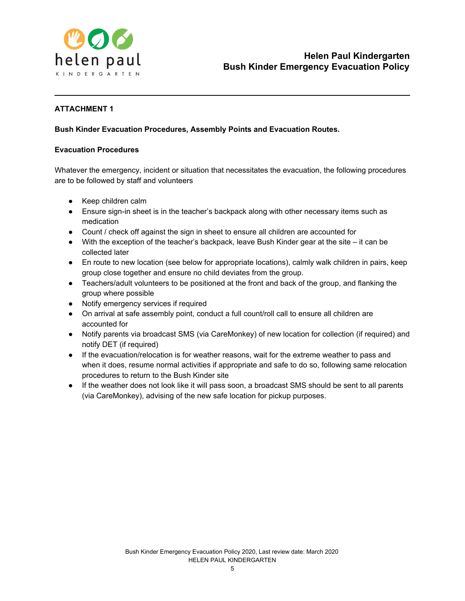

# **ATTACHMENT 1**

# **Bush Kinder Evacuation Procedures, Assembly Points and Evacuation Routes.**

#### **Evacuation Procedures**

Whatever the emergency, incident or situation that necessitates the evacuation, the following procedures are to be followed by staff and volunteers

- Keep children calm
- Ensure sign-in sheet is in the teacher's backpack along with other necessary items such as medication
- Count / check off against the sign in sheet to ensure all children are accounted for
- With the exception of the teacher's backpack, leave Bush Kinder gear at the site it can be collected later
- En route to new location (see below for appropriate locations), calmly walk children in pairs, keep group close together and ensure no child deviates from the group.
- Teachers/adult volunteers to be positioned at the front and back of the group, and flanking the group where possible
- Notify emergency services if required
- On arrival at safe assembly point, conduct a full count/roll call to ensure all children are accounted for
- Notify parents via broadcast SMS (via CareMonkey) of new location for collection (if required) and notify DET (if required)
- If the evacuation/relocation is for weather reasons, wait for the extreme weather to pass and when it does, resume normal activities if appropriate and safe to do so, following same relocation procedures to return to the Bush Kinder site
- If the weather does not look like it will pass soon, a broadcast SMS should be sent to all parents (via CareMonkey), advising of the new safe location for pickup purposes.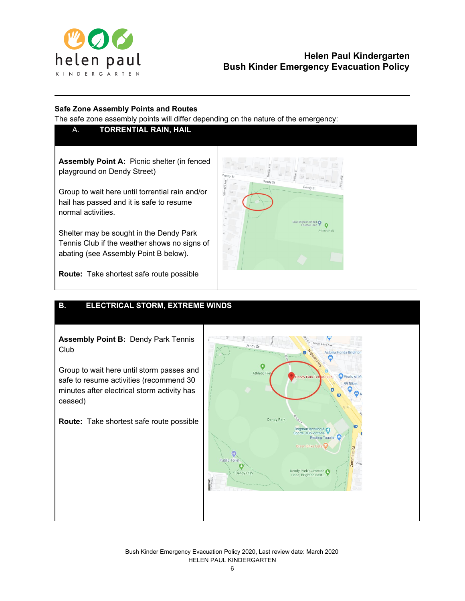

# **Helen Paul Kindergarten Bush Kinder Emergency Evacuation Policy**

ted **Q** 

# **Safe Zone Assembly Points and Routes**

The safe zone assembly points will differ depending on the nature of the emergency:

# A. **TORRENTIAL RAIN, HAIL**

**Assembly Point A:** Picnic shelter (in fenced playground on Dendy Street)

Group to wait here until torrential rain and/or hail has passed and it is safe to resume normal activities.

Shelter may be sought in the Dendy Park Tennis Club if the weather shows no signs of abating (see Assembly Point B below).



# **B. ELECTRICAL STORM, EXTREME WINDS**

**Assembly Point B:** Dendy Park Tennis Club

Group to wait here until storm passes and safe to resume activities (recommend 30 minutes after electrical storm activity has ceased)

**Route:** Take shortest safe route possible



Jendy c